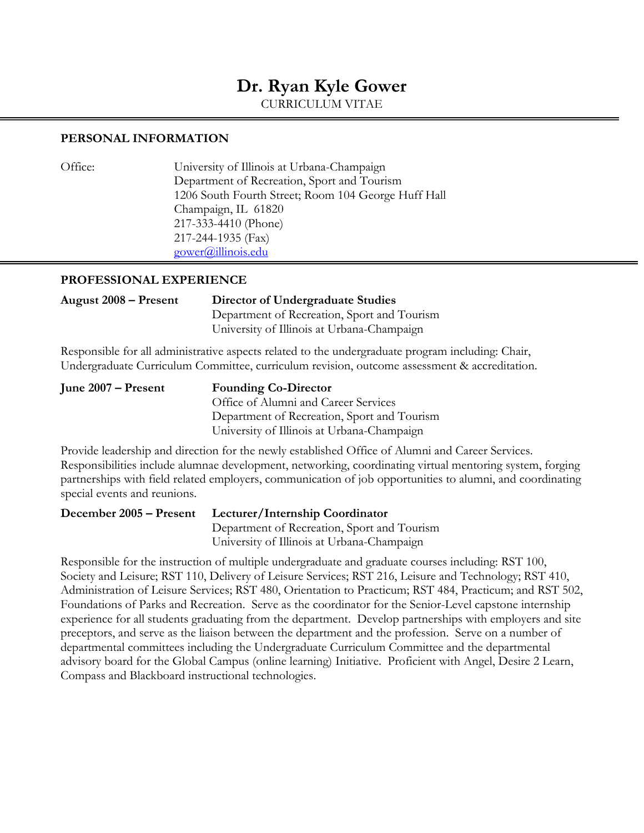# **Dr. Ryan Kyle Gower**

CURRICULUM VITAE

#### **PERSONAL INFORMATION**

Office: University of Illinois at Urbana-Champaign Department of Recreation, Sport and Tourism 1206 South Fourth Street; Room 104 George Huff Hall Champaign, IL 61820 217-333-4410 (Phone) 217-244-1935 (Fax) [gower@illinois.edu](mailto:gower@illinois.edu)

### **PROFESSIONAL EXPERIENCE**

### **August 2008 – Present Director of Undergraduate Studies** Department of Recreation, Sport and Tourism University of Illinois at Urbana-Champaign

Responsible for all administrative aspects related to the undergraduate program including: Chair, Undergraduate Curriculum Committee, curriculum revision, outcome assessment & accreditation.

| June 2007 – Present | <b>Founding Co-Director</b>                 |  |
|---------------------|---------------------------------------------|--|
|                     | Office of Alumni and Career Services        |  |
|                     | Department of Recreation, Sport and Tourism |  |
|                     | University of Illinois at Urbana-Champaign  |  |
|                     |                                             |  |

Provide leadership and direction for the newly established Office of Alumni and Career Services. Responsibilities include alumnae development, networking, coordinating virtual mentoring system, forging partnerships with field related employers, communication of job opportunities to alumni, and coordinating special events and reunions.

**December 2005 – Present Lecturer/Internship Coordinator**  Department of Recreation, Sport and Tourism University of Illinois at Urbana-Champaign

Responsible for the instruction of multiple undergraduate and graduate courses including: RST 100, Society and Leisure; RST 110, Delivery of Leisure Services; RST 216, Leisure and Technology; RST 410, Administration of Leisure Services; RST 480, Orientation to Practicum; RST 484, Practicum; and RST 502, Foundations of Parks and Recreation. Serve as the coordinator for the Senior-Level capstone internship experience for all students graduating from the department. Develop partnerships with employers and site preceptors, and serve as the liaison between the department and the profession. Serve on a number of departmental committees including the Undergraduate Curriculum Committee and the departmental advisory board for the Global Campus (online learning) Initiative. Proficient with Angel, Desire 2 Learn, Compass and Blackboard instructional technologies.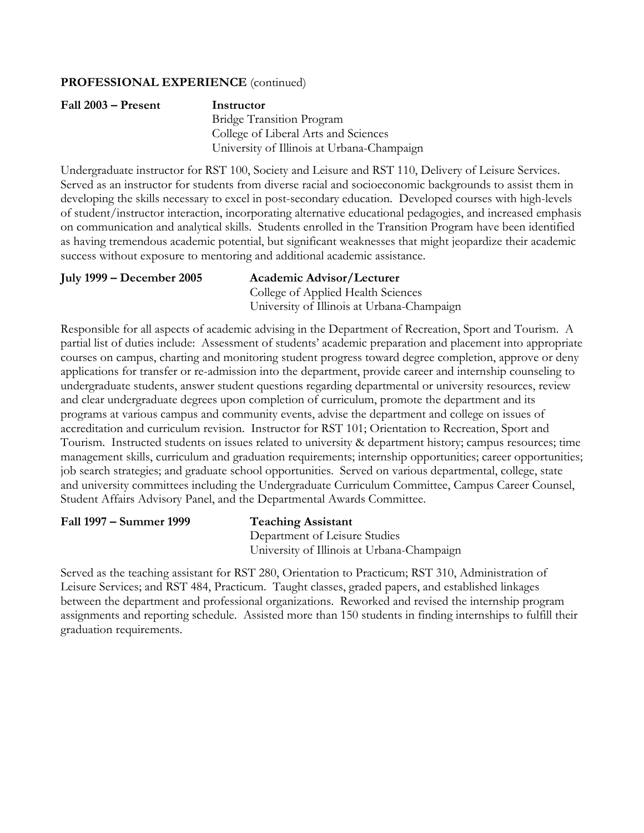#### **PROFESSIONAL EXPERIENCE** (continued)

| Fall 2003 – Present | Instructor                                 |  |
|---------------------|--------------------------------------------|--|
|                     | <b>Bridge Transition Program</b>           |  |
|                     | College of Liberal Arts and Sciences       |  |
|                     | University of Illinois at Urbana-Champaign |  |

Undergraduate instructor for RST 100, Society and Leisure and RST 110, Delivery of Leisure Services. Served as an instructor for students from diverse racial and socioeconomic backgrounds to assist them in developing the skills necessary to excel in post-secondary education. Developed courses with high-levels of student/instructor interaction, incorporating alternative educational pedagogies, and increased emphasis on communication and analytical skills. Students enrolled in the Transition Program have been identified as having tremendous academic potential, but significant weaknesses that might jeopardize their academic success without exposure to mentoring and additional academic assistance.

#### **July 1999 – December 2005 Academic Advisor/Lecturer** College of Applied Health Sciences University of Illinois at Urbana-Champaign

Responsible for all aspects of academic advising in the Department of Recreation, Sport and Tourism. A partial list of duties include: Assessment of students' academic preparation and placement into appropriate courses on campus, charting and monitoring student progress toward degree completion, approve or deny applications for transfer or re-admission into the department, provide career and internship counseling to undergraduate students, answer student questions regarding departmental or university resources, review and clear undergraduate degrees upon completion of curriculum, promote the department and its programs at various campus and community events, advise the department and college on issues of accreditation and curriculum revision. Instructor for RST 101; Orientation to Recreation, Sport and Tourism. Instructed students on issues related to university & department history; campus resources; time management skills, curriculum and graduation requirements; internship opportunities; career opportunities; job search strategies; and graduate school opportunities. Served on various departmental, college, state and university committees including the Undergraduate Curriculum Committee, Campus Career Counsel, Student Affairs Advisory Panel, and the Departmental Awards Committee.

#### **Fall 1997 – Summer 1999 Teaching Assistant**

Department of Leisure Studies University of Illinois at Urbana-Champaign

Served as the teaching assistant for RST 280, Orientation to Practicum; RST 310, Administration of Leisure Services; and RST 484, Practicum. Taught classes, graded papers, and established linkages between the department and professional organizations. Reworked and revised the internship program assignments and reporting schedule. Assisted more than 150 students in finding internships to fulfill their graduation requirements.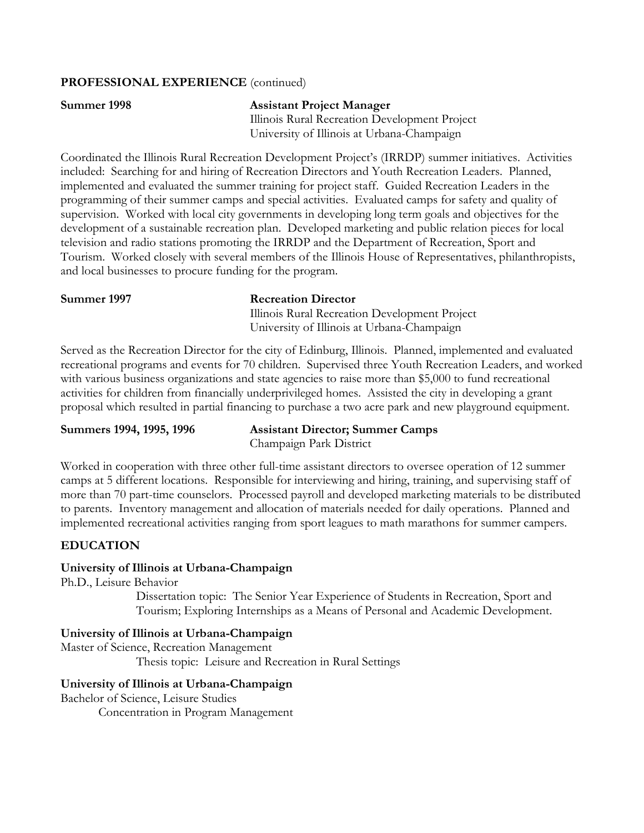#### **PROFESSIONAL EXPERIENCE** (continued)

## **Summer 1998 Assistant Project Manager**

 Illinois Rural Recreation Development Project University of Illinois at Urbana-Champaign

Coordinated the Illinois Rural Recreation Development Project's (IRRDP) summer initiatives. Activities included: Searching for and hiring of Recreation Directors and Youth Recreation Leaders. Planned, implemented and evaluated the summer training for project staff. Guided Recreation Leaders in the programming of their summer camps and special activities. Evaluated camps for safety and quality of supervision. Worked with local city governments in developing long term goals and objectives for the development of a sustainable recreation plan. Developed marketing and public relation pieces for local television and radio stations promoting the IRRDP and the Department of Recreation, Sport and Tourism. Worked closely with several members of the Illinois House of Representatives, philanthropists, and local businesses to procure funding for the program.

**Summer 1997 Recreation Director** 

 Illinois Rural Recreation Development Project University of Illinois at Urbana-Champaign

Served as the Recreation Director for the city of Edinburg, Illinois. Planned, implemented and evaluated recreational programs and events for 70 children. Supervised three Youth Recreation Leaders, and worked with various business organizations and state agencies to raise more than \$5,000 to fund recreational activities for children from financially underprivileged homes. Assisted the city in developing a grant proposal which resulted in partial financing to purchase a two acre park and new playground equipment.

**Summers 1994, 1995, 1996 Assistant Director; Summer Camps**  Champaign Park District

Worked in cooperation with three other full-time assistant directors to oversee operation of 12 summer camps at 5 different locations. Responsible for interviewing and hiring, training, and supervising staff of more than 70 part-time counselors. Processed payroll and developed marketing materials to be distributed to parents. Inventory management and allocation of materials needed for daily operations. Planned and implemented recreational activities ranging from sport leagues to math marathons for summer campers.

### **EDUCATION**

### **University of Illinois at Urbana-Champaign**

Ph.D., Leisure Behavior

Dissertation topic: The Senior Year Experience of Students in Recreation, Sport and Tourism; Exploring Internships as a Means of Personal and Academic Development.

### **University of Illinois at Urbana-Champaign**

Master of Science, Recreation Management Thesis topic: Leisure and Recreation in Rural Settings

### **University of Illinois at Urbana-Champaign**

Bachelor of Science, Leisure Studies

Concentration in Program Management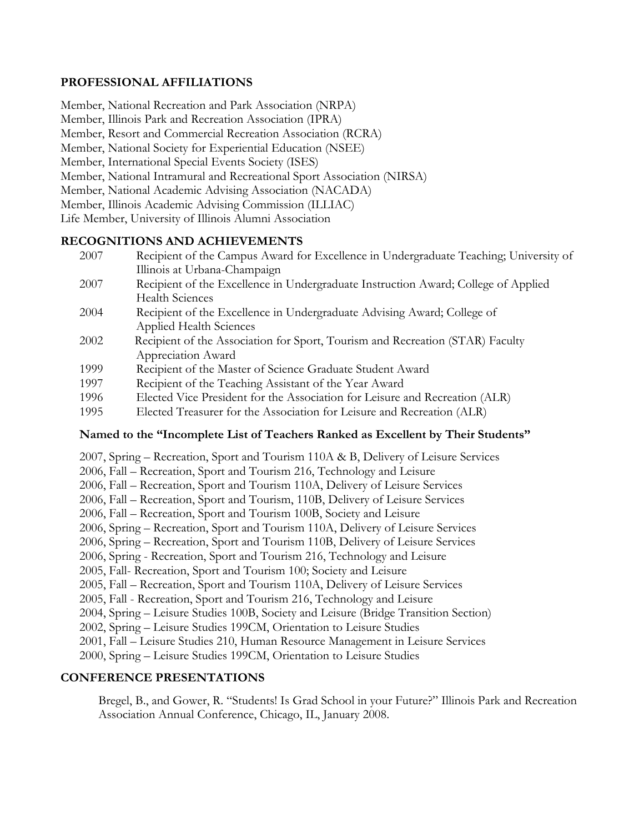### **PROFESSIONAL AFFILIATIONS**

Member, National Recreation and Park Association (NRPA) Member, Illinois Park and Recreation Association (IPRA) Member, Resort and Commercial Recreation Association (RCRA) Member, National Society for Experiential Education (NSEE) Member, International Special Events Society (ISES) Member, National Intramural and Recreational Sport Association (NIRSA) Member, National Academic Advising Association (NACADA) Member, Illinois Academic Advising Commission (ILLIAC) Life Member, University of Illinois Alumni Association

### **RECOGNITIONS AND ACHIEVEMENTS**

- 2007 Recipient of the Campus Award for Excellence in Undergraduate Teaching; University of Illinois at Urbana-Champaign
- 2007 Recipient of the Excellence in Undergraduate Instruction Award; College of Applied Health Sciences
- 2004 Recipient of the Excellence in Undergraduate Advising Award; College of Applied Health Sciences
- 2002 Recipient of the Association for Sport, Tourism and Recreation (STAR) Faculty Appreciation Award
- 1999 Recipient of the Master of Science Graduate Student Award
- 1997 Recipient of the Teaching Assistant of the Year Award
- 1996 Elected Vice President for the Association for Leisure and Recreation (ALR)
- 1995 Elected Treasurer for the Association for Leisure and Recreation (ALR)

### **Named to the "Incomplete List of Teachers Ranked as Excellent by Their Students"**

2007, Spring – Recreation, Sport and Tourism 110A & B, Delivery of Leisure Services 2006, Fall – Recreation, Sport and Tourism 216, Technology and Leisure 2006, Fall – Recreation, Sport and Tourism 110A, Delivery of Leisure Services 2006, Fall – Recreation, Sport and Tourism, 110B, Delivery of Leisure Services 2006, Fall – Recreation, Sport and Tourism 100B, Society and Leisure 2006, Spring – Recreation, Sport and Tourism 110A, Delivery of Leisure Services 2006, Spring – Recreation, Sport and Tourism 110B, Delivery of Leisure Services 2006, Spring - Recreation, Sport and Tourism 216, Technology and Leisure 2005, Fall- Recreation, Sport and Tourism 100; Society and Leisure 2005, Fall – Recreation, Sport and Tourism 110A, Delivery of Leisure Services 2005, Fall - Recreation, Sport and Tourism 216, Technology and Leisure 2004, Spring – Leisure Studies 100B, Society and Leisure (Bridge Transition Section) 2002, Spring – Leisure Studies 199CM, Orientation to Leisure Studies 2001, Fall – Leisure Studies 210, Human Resource Management in Leisure Services 2000, Spring – Leisure Studies 199CM, Orientation to Leisure Studies

### **CONFERENCE PRESENTATIONS**

 Bregel, B., and Gower, R. "Students! Is Grad School in your Future?" Illinois Park and Recreation Association Annual Conference, Chicago, IL, January 2008.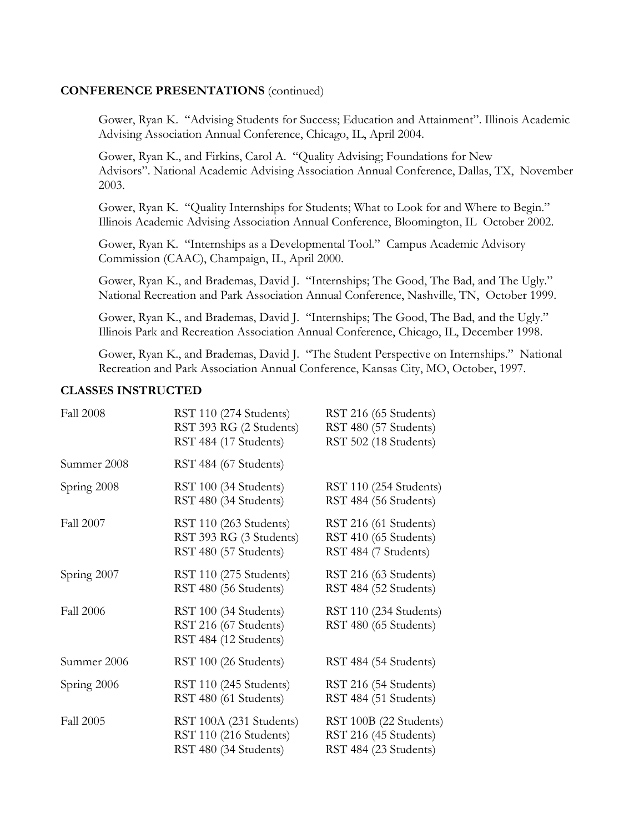#### **CONFERENCE PRESENTATIONS** (continued)

 Gower, Ryan K. "Advising Students for Success; Education and Attainment". Illinois Academic Advising Association Annual Conference, Chicago, IL, April 2004.

Gower, Ryan K., and Firkins, Carol A. "Quality Advising; Foundations for New Advisors". National Academic Advising Association Annual Conference, Dallas, TX, November 2003.

 Gower, Ryan K. "Quality Internships for Students; What to Look for and Where to Begin." Illinois Academic Advising Association Annual Conference, Bloomington, IL October 2002.

 Gower, Ryan K. "Internships as a Developmental Tool." Campus Academic Advisory Commission (CAAC), Champaign, IL, April 2000.

 Gower, Ryan K., and Brademas, David J. "Internships; The Good, The Bad, and The Ugly." National Recreation and Park Association Annual Conference, Nashville, TN, October 1999.

 Gower, Ryan K., and Brademas, David J. "Internships; The Good, The Bad, and the Ugly." Illinois Park and Recreation Association Annual Conference, Chicago, IL, December 1998.

 Gower, Ryan K., and Brademas, David J. "The Student Perspective on Internships." National Recreation and Park Association Annual Conference, Kansas City, MO, October, 1997.

#### **CLASSES INSTRUCTED**

| <b>Fall 2008</b> | RST 110 (274 Students)<br>RST 393 RG (2 Students)<br>RST 484 (17 Students) | RST 216 (65 Students)<br>RST 480 (57 Students)<br>RST 502 (18 Students)  |
|------------------|----------------------------------------------------------------------------|--------------------------------------------------------------------------|
| Summer 2008      | RST 484 (67 Students)                                                      |                                                                          |
| Spring 2008      | RST 100 (34 Students)<br>RST 480 (34 Students)                             | RST 110 (254 Students)<br>RST 484 (56 Students)                          |
| Fall 2007        | RST 110 (263 Students)<br>RST 393 RG (3 Students)<br>RST 480 (57 Students) | RST 216 (61 Students)<br>RST 410 (65 Students)<br>RST 484 (7 Students)   |
| Spring 2007      | RST 110 (275 Students)<br>RST 480 (56 Students)                            | RST 216 (63 Students)<br>RST 484 (52 Students)                           |
| <b>Fall 2006</b> | RST 100 (34 Students)<br>RST 216 (67 Students)<br>RST 484 (12 Students)    | RST 110 (234 Students)<br>RST 480 (65 Students)                          |
| Summer 2006      | RST 100 (26 Students)                                                      | RST 484 (54 Students)                                                    |
| Spring 2006      | RST 110 (245 Students)<br>RST 480 (61 Students)                            | RST 216 (54 Students)<br>RST 484 (51 Students)                           |
| <b>Fall 2005</b> | RST 100A (231 Students)<br>RST 110 (216 Students)<br>RST 480 (34 Students) | RST 100B (22 Students)<br>RST 216 (45 Students)<br>RST 484 (23 Students) |